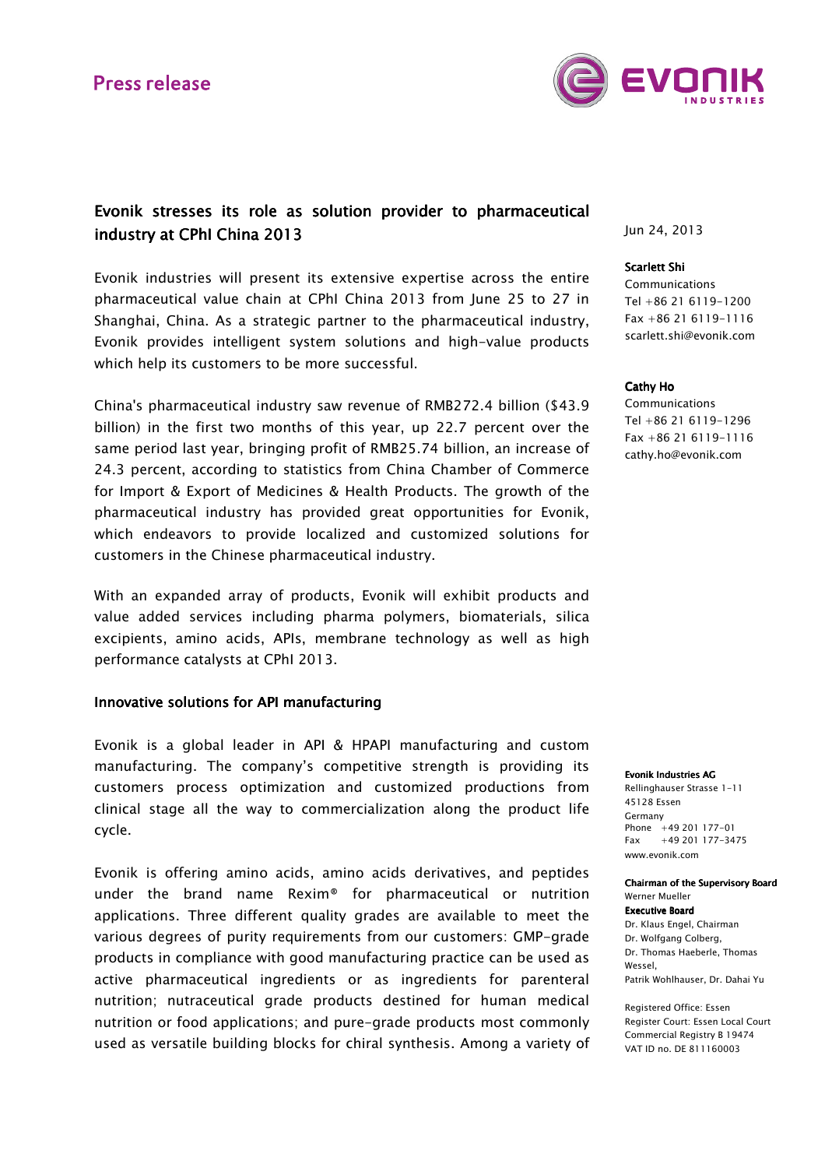

# Evonik stresses its role as solution provider to pharmaceutical industry at CPhI China 2013

Evonik industries will present its extensive expertise across the entire pharmaceutical value chain at CPhI China 2013 from June 25 to 27 in Shanghai, China. As a strategic partner to the pharmaceutical industry, Evonik provides intelligent system solutions and high-value products which help its customers to be more successful.

China's pharmaceutical industry saw revenue of RMB272.4 billion (\$43.9 billion) in the first two months of this year, up 22.7 percent over the same period last year, bringing profit of RMB25.74 billion, an increase of 24.3 percent, according to statistics from China Chamber of Commerce for Import & Export of Medicines & Health Products. The growth of the pharmaceutical industry has provided great opportunities for Evonik, which endeavors to provide localized and customized solutions for customers in the Chinese pharmaceutical industry.

With an expanded array of products, Evonik will exhibit products and value added services including pharma polymers, biomaterials, silica excipients, amino acids, APIs, membrane technology as well as high performance catalysts at CPhI 2013.

### Innovative solutions for API manufacturing

Evonik is a global leader in API & HPAPI manufacturing and custom manufacturing. The company's competitive strength is providing its customers process optimization and customized productions from clinical stage all the way to commercialization along the product life cycle.

Evonik is offering amino acids, amino acids derivatives, and peptides under the brand name Rexim® for pharmaceutical or nutrition applications. Three different quality grades are available to meet the various degrees of purity requirements from our customers: GMP-grade products in compliance with good manufacturing practice can be used as active pharmaceutical ingredients or as ingredients for parenteral nutrition; nutraceutical grade products destined for human medical nutrition or food applications; and pure-grade products most commonly used as versatile building blocks for chiral synthesis. Among a variety of Jun 24, 2013

#### Scarlett Shi

Communications Tel +86 21 6119-1200 Fax +86 21 6119-1116 scarlett.shi@evonik.com

#### Cathy Ho

Communications Tel +86 21 6119-1296 Fax +86 21 6119-1116 cathy.ho@evonik.com

#### Evonik Industries AG

Rellinghauser Strasse 1-11 45128 Essen Germany Phone +49 201 177-01 Fax +49 201 177-3475 www.evonik.com

#### Chairman of the Supervisory Board Werner Mueller

Executive Board Dr. Klaus Engel, Chairman Dr. Wolfgang Colberg, Dr. Thomas Haeberle, Thomas Wessel,

Patrik Wohlhauser, Dr. Dahai Yu

Registered Office: Essen Register Court: Essen Local Court Commercial Registry B 19474 VAT ID no. DE 811160003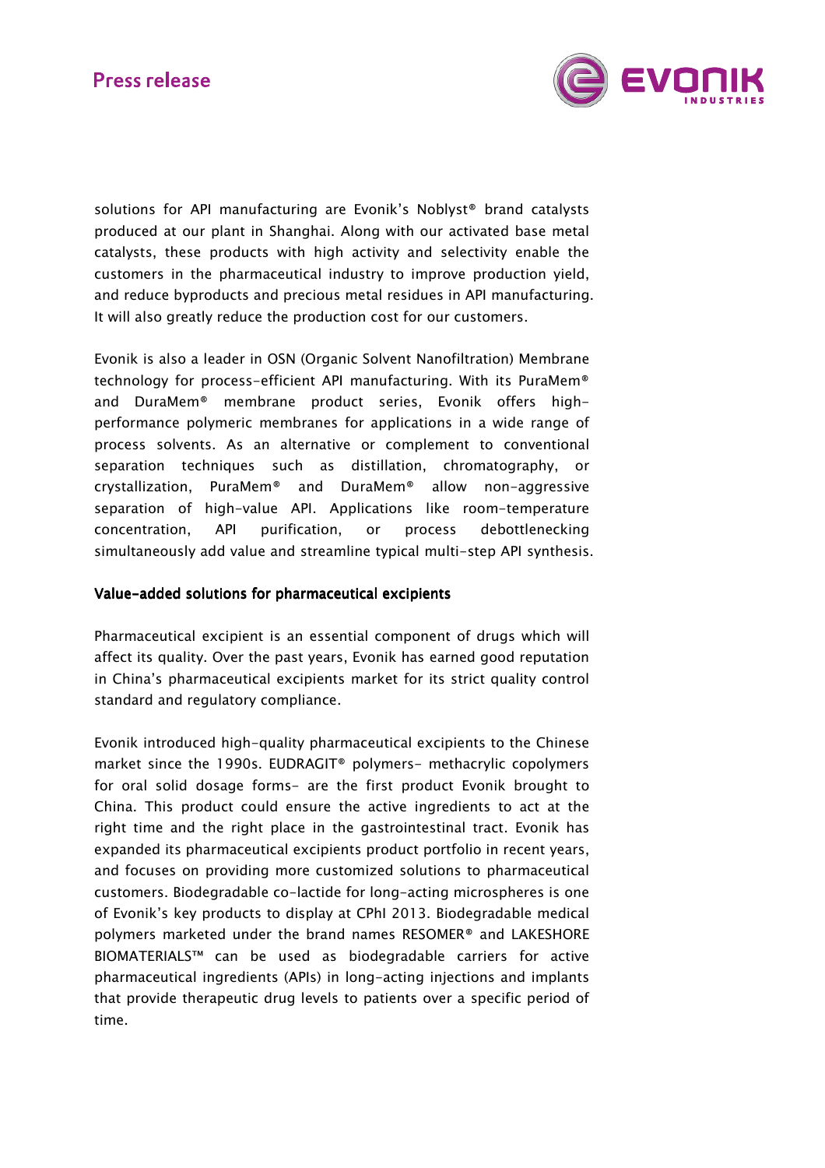

solutions for API manufacturing are Evonik's Noblyst® brand catalysts produced at our plant in Shanghai. Along with our activated base metal catalysts, these products with high activity and selectivity enable the customers in the pharmaceutical industry to improve production yield, and reduce byproducts and precious metal residues in API manufacturing. It will also greatly reduce the production cost for our customers.

Evonik is also a leader in OSN (Organic Solvent Nanofiltration) Membrane technology for process-efficient API manufacturing. With its PuraMem® and DuraMem® membrane product series, Evonik offers highperformance polymeric membranes for applications in a wide range of process solvents. As an alternative or complement to conventional separation techniques such as distillation, chromatography, or crystallization, PuraMem® and DuraMem® allow non-aggressive separation of high-value API. Applications like room-temperature concentration, API purification, or process debottlenecking simultaneously add value and streamline typical multi-step API synthesis.

## Value-added solutions for pharmaceutical excipients

Pharmaceutical excipient is an essential component of drugs which will affect its quality. Over the past years, Evonik has earned good reputation in China's pharmaceutical excipients market for its strict quality control standard and regulatory compliance.

Evonik introduced high-quality pharmaceutical excipients to the Chinese market since the 1990s. EUDRAGIT® polymers- methacrylic copolymers for oral solid dosage forms- are the first product Evonik brought to China. This product could ensure the active ingredients to act at the right time and the right place in the gastrointestinal tract. Evonik has expanded its pharmaceutical excipients product portfolio in recent years, and focuses on providing more customized solutions to pharmaceutical customers. Biodegradable co-lactide for long-acting microspheres is one of Evonik's key products to display at CPhI 2013. Biodegradable medical polymers marketed under the brand names RESOMER® and LAKESHORE BIOMATERIALS™ can be used as biodegradable carriers for active pharmaceutical ingredients (APIs) in long-acting injections and implants that provide therapeutic drug levels to patients over a specific period of time.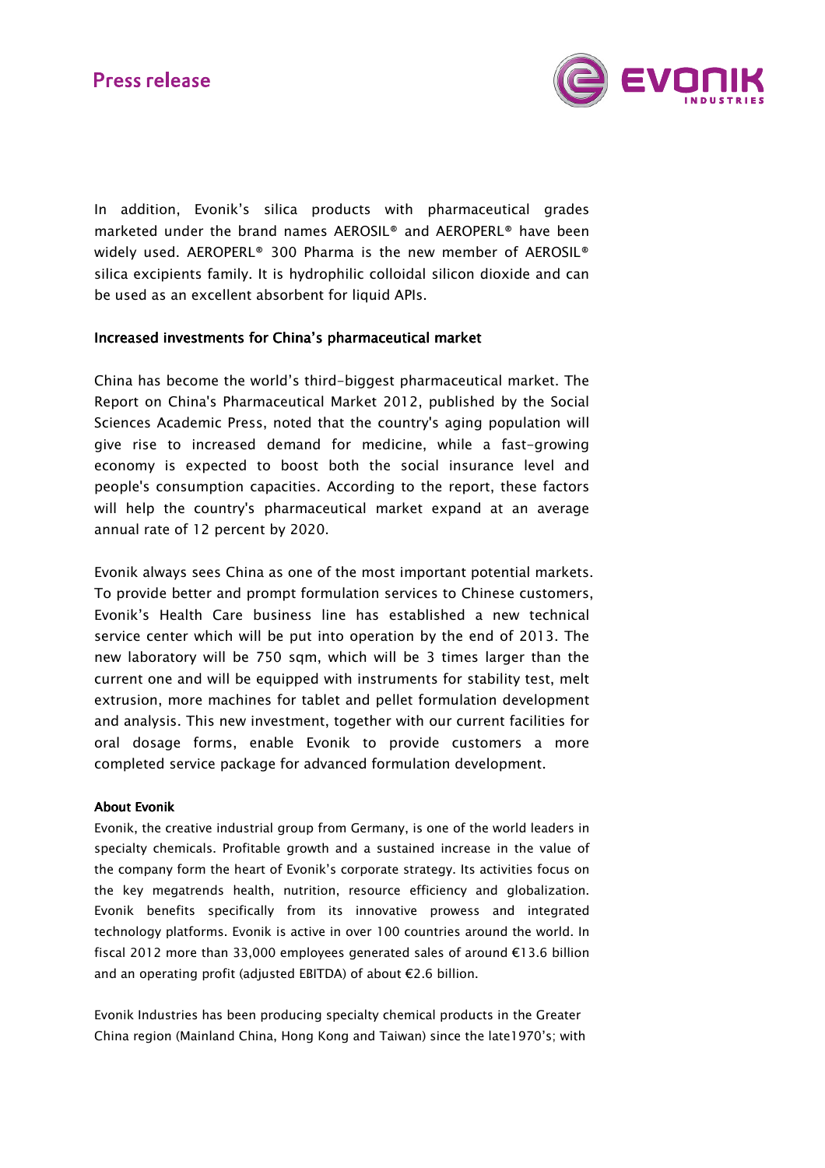

In addition, Evonik's silica products with pharmaceutical grades marketed under the brand names AEROSIL® and AEROPERL® have been widely used. AEROPERL<sup>®</sup> 300 Pharma is the new member of AEROSIL<sup>®</sup> silica excipients family. It is hydrophilic colloidal silicon dioxide and can be used as an excellent absorbent for liquid APIs.

### Increased investments for China's pharmaceutical market

China has become the world's third-biggest pharmaceutical market. The Report on China's Pharmaceutical Market 2012, published by the Social Sciences Academic Press, noted that the country's aging population will give rise to increased demand for medicine, while a fast-growing economy is expected to boost both the social insurance level and people's consumption capacities. According to the report, these factors will help the country's pharmaceutical market expand at an average annual rate of 12 percent by 2020.

Evonik always sees China as one of the most important potential markets. To provide better and prompt formulation services to Chinese customers, Evonik's Health Care business line has established a new technical service center which will be put into operation by the end of 2013. The new laboratory will be 750 sqm, which will be 3 times larger than the current one and will be equipped with instruments for stability test, melt extrusion, more machines for tablet and pellet formulation development and analysis. This new investment, together with our current facilities for oral dosage forms, enable Evonik to provide customers a more completed service package for advanced formulation development.

### **About Evonik**

Evonik, the creative industrial group from Germany, is one of the world leaders in specialty chemicals. Profitable growth and a sustained increase in the value of the company form the heart of Evonik's corporate strategy. Its activities focus on the key megatrends health, nutrition, resource efficiency and globalization. Evonik benefits specifically from its innovative prowess and integrated technology platforms. Evonik is active in over 100 countries around the world. In fiscal 2012 more than 33,000 employees generated sales of around €13.6 billion and an operating profit (adjusted EBITDA) of about €2.6 billion.

Evonik Industries has been producing specialty chemical products in the Greater China region (Mainland China, Hong Kong and Taiwan) since the late1970's; with